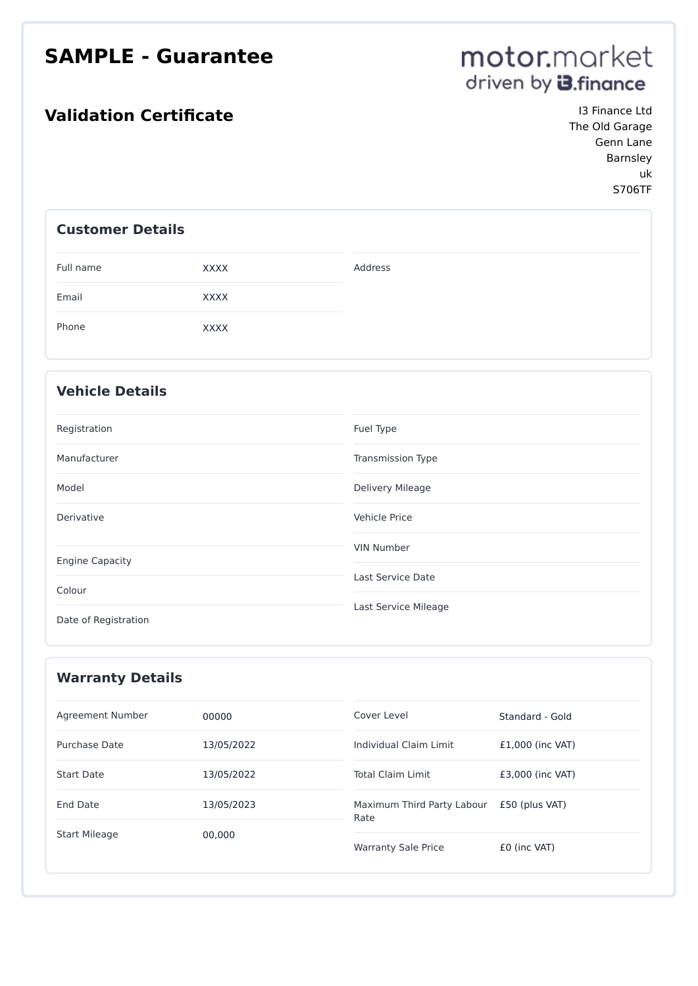### **SAMPLE - Guarantee**

### **Validation Certificate In the US Is Finance Ltd**

# motor.market driven by **3.** finance

The Old Garage Genn Lane Barnsley uk S706TF

#### **Customer Details**

| Full name | XXXX | Address |
|-----------|------|---------|
| Email     | XXXX |         |
| Phone     | XXXX |         |

#### **Vehicle Details**

| Registration           | Fuel Type            |
|------------------------|----------------------|
| Manufacturer           | Transmission Type    |
| Model                  | Delivery Mileage     |
| Derivative             | Vehicle Price        |
|                        | <b>VIN Number</b>    |
| <b>Engine Capacity</b> | Last Service Date    |
| Colour                 |                      |
| Date of Registration   | Last Service Mileage |

| <b>Warranty Details</b> |            |                                    |                    |
|-------------------------|------------|------------------------------------|--------------------|
| Agreement Number        | 00000      | Cover Level                        | Standard - Gold    |
| Purchase Date           | 13/05/2022 | Individual Claim Limit             | $£1,000$ (inc VAT) |
| <b>Start Date</b>       | 13/05/2022 | <b>Total Claim Limit</b>           | £3,000 (inc VAT)   |
| End Date                | 13/05/2023 | Maximum Third Party Labour<br>Rate | £50 (plus VAT)     |
| <b>Start Mileage</b>    | 00,000     | <b>Warranty Sale Price</b>         | £0 (inc VAT)       |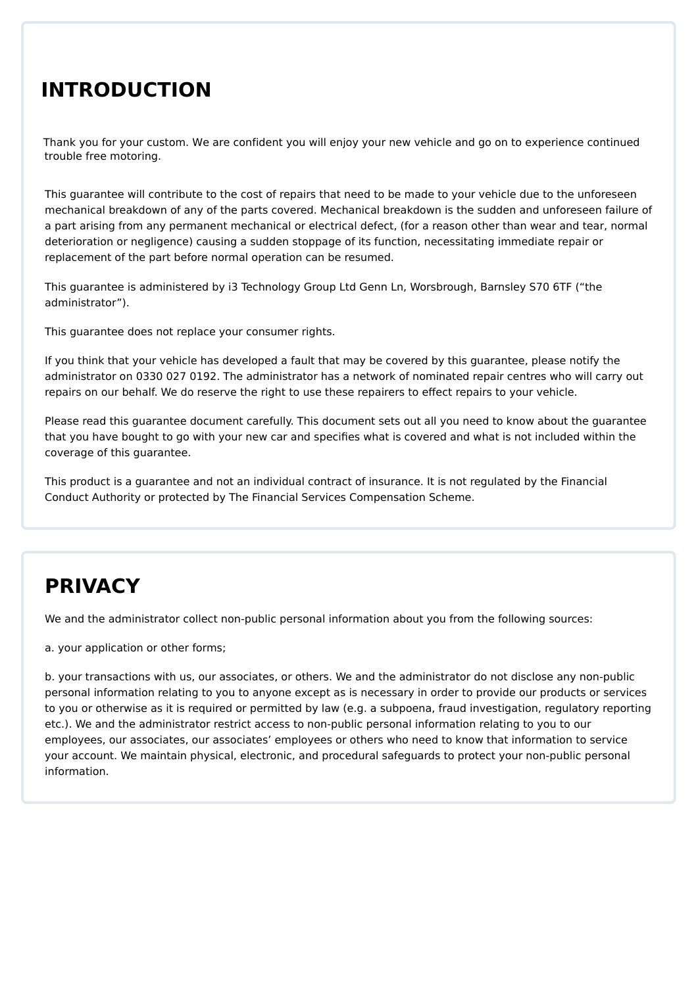### **INTRODUCTION**

Thank you for your custom. We are confident you will enjoy your new vehicle and go on to experience continued trouble free motoring.

This guarantee will contribute to the cost of repairs that need to be made to your vehicle due to the unforeseen mechanical breakdown of any of the parts covered. Mechanical breakdown is the sudden and unforeseen failure of a part arising from any permanent mechanical or electrical defect, (for a reason other than wear and tear, normal deterioration or negligence) causing a sudden stoppage of its function, necessitating immediate repair or replacement of the part before normal operation can be resumed.

This guarantee is administered by i3 Technology Group Ltd Genn Ln, Worsbrough, Barnsley S70 6TF ("the administrator").

This guarantee does not replace your consumer rights.

If you think that your vehicle has developed a fault that may be covered by this guarantee, please notify the administrator on 0330 027 0192. The administrator has a network of nominated repair centres who will carry out repairs on our behalf. We do reserve the right to use these repairers to effect repairs to your vehicle.

Please read this guarantee document carefully. This document sets out all you need to know about the guarantee that you have bought to go with your new car and specifies what is covered and what is not included within the coverage of this guarantee.

This product is a guarantee and not an individual contract of insurance. It is not regulated by the Financial Conduct Authority or protected by The Financial Services Compensation Scheme.

# **PRIVACY**

We and the administrator collect non-public personal information about you from the following sources:

a. your application or other forms;

b. your transactions with us, our associates, or others. We and the administrator do not disclose any non-public personal information relating to you to anyone except as is necessary in order to provide our products or services to you or otherwise as it is required or permitted by law (e.g. a subpoena, fraud investigation, regulatory reporting etc.). We and the administrator restrict access to non-public personal information relating to you to our employees, our associates, our associates' employees or others who need to know that information to service your account. We maintain physical, electronic, and procedural safeguards to protect your non-public personal information.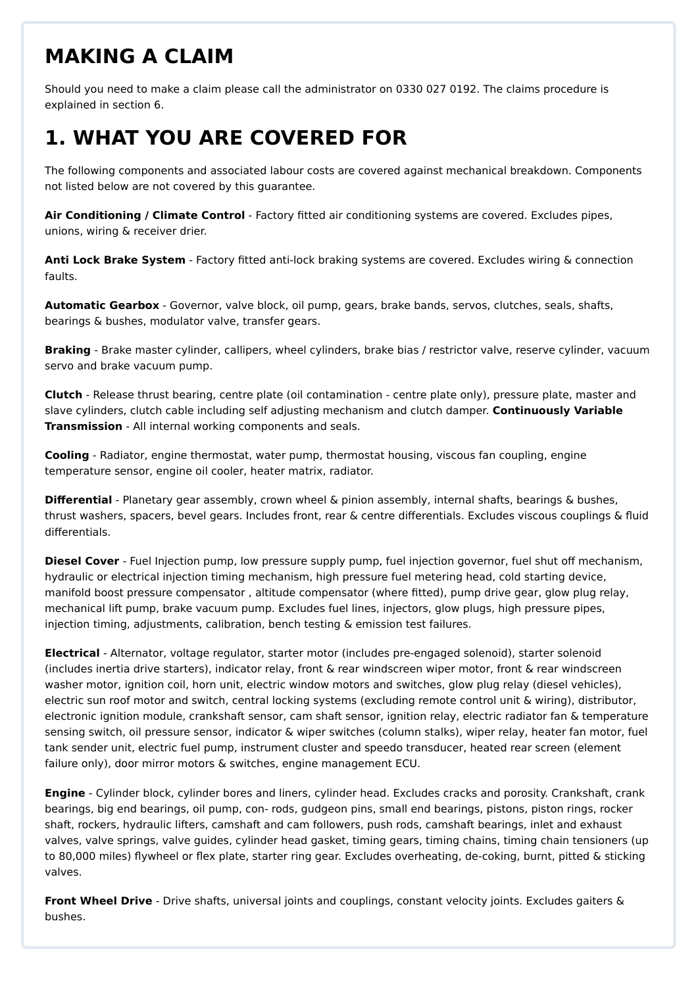### **MAKING A CLAIM**

Should you need to make a claim please call the administrator on 0330 027 0192. The claims procedure is explained in section 6.

# **1. WHAT YOU ARE COVERED FOR**

The following components and associated labour costs are covered against mechanical breakdown. Components not listed below are not covered by this guarantee.

**Air Conditioning / Climate Control** - Factory fitted air conditioning systems are covered. Excludes pipes, unions, wiring & receiver drier.

**Anti Lock Brake System** - Factory fitted anti-lock braking systems are covered. Excludes wiring & connection faults.

**Automatic Gearbox** - Governor, valve block, oil pump, gears, brake bands, servos, clutches, seals, shafts, bearings & bushes, modulator valve, transfer gears.

**Braking** - Brake master cylinder, callipers, wheel cylinders, brake bias / restrictor valve, reserve cylinder, vacuum servo and brake vacuum pump.

**Clutch** - Release thrust bearing, centre plate (oil contamination - centre plate only), pressure plate, master and slave cylinders, clutch cable including self adjusting mechanism and clutch damper. **Continuously Variable Transmission** - All internal working components and seals.

**Cooling** - Radiator, engine thermostat, water pump, thermostat housing, viscous fan coupling, engine temperature sensor, engine oil cooler, heater matrix, radiator.

**Differential** - Planetary gear assembly, crown wheel & pinion assembly, internal shafts, bearings & bushes, thrust washers, spacers, bevel gears. Includes front, rear & centre differentials. Excludes viscous couplings & fluid differentials.

**Diesel Cover** - Fuel Injection pump, low pressure supply pump, fuel injection governor, fuel shut off mechanism, hydraulic or electrical injection timing mechanism, high pressure fuel metering head, cold starting device, manifold boost pressure compensator , altitude compensator (where fitted), pump drive gear, glow plug relay, mechanical lift pump, brake vacuum pump. Excludes fuel lines, injectors, glow plugs, high pressure pipes, injection timing, adjustments, calibration, bench testing & emission test failures.

**Electrical** - Alternator, voltage regulator, starter motor (includes pre-engaged solenoid), starter solenoid (includes inertia drive starters), indicator relay, front & rear windscreen wiper motor, front & rear windscreen washer motor, ignition coil, horn unit, electric window motors and switches, glow plug relay (diesel vehicles), electric sun roof motor and switch, central locking systems (excluding remote control unit & wiring), distributor, electronic ignition module, crankshaft sensor, cam shaft sensor, ignition relay, electric radiator fan & temperature sensing switch, oil pressure sensor, indicator & wiper switches (column stalks), wiper relay, heater fan motor, fuel tank sender unit, electric fuel pump, instrument cluster and speedo transducer, heated rear screen (element failure only), door mirror motors & switches, engine management ECU.

**Engine** - Cylinder block, cylinder bores and liners, cylinder head. Excludes cracks and porosity. Crankshaft, crank bearings, big end bearings, oil pump, con- rods, gudgeon pins, small end bearings, pistons, piston rings, rocker shaft, rockers, hydraulic lifters, camshaft and cam followers, push rods, camshaft bearings, inlet and exhaust valves, valve springs, valve guides, cylinder head gasket, timing gears, timing chains, timing chain tensioners (up to 80,000 miles) flywheel or flex plate, starter ring gear. Excludes overheating, de-coking, burnt, pitted & sticking valves.

**Front Wheel Drive** - Drive shafts, universal joints and couplings, constant velocity joints. Excludes gaiters & bushes.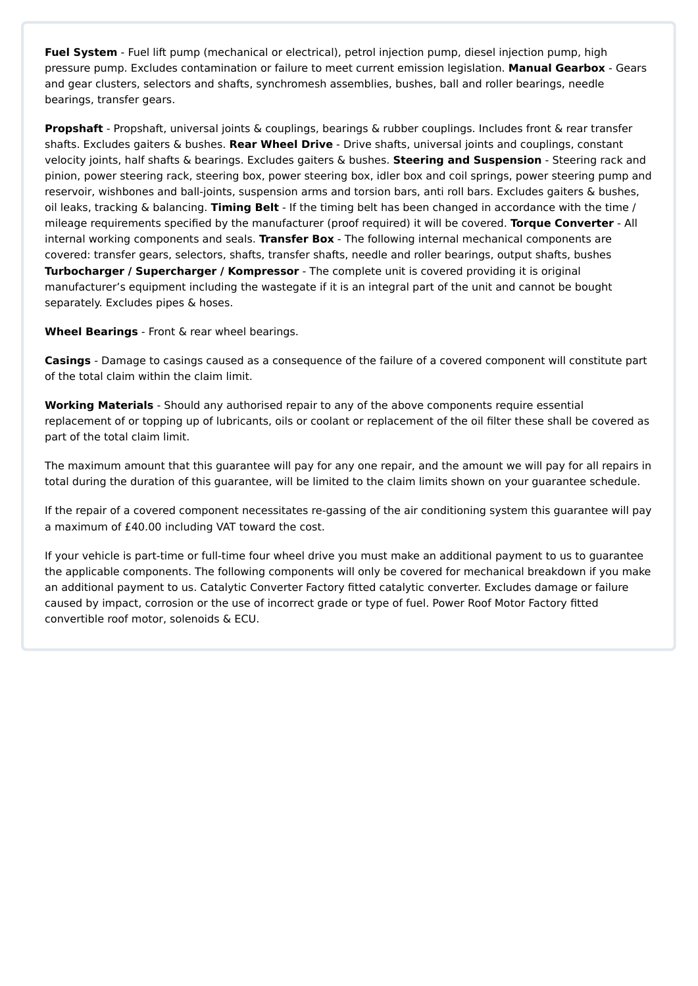**Fuel System** - Fuel lift pump (mechanical or electrical), petrol injection pump, diesel injection pump, high pressure pump. Excludes contamination or failure to meet current emission legislation. **Manual Gearbox** - Gears and gear clusters, selectors and shafts, synchromesh assemblies, bushes, ball and roller bearings, needle bearings, transfer gears.

**Propshaft** - Propshaft, universal joints & couplings, bearings & rubber couplings. Includes front & rear transfer shafts. Excludes gaiters & bushes. **Rear Wheel Drive** - Drive shafts, universal joints and couplings, constant velocity joints, half shafts & bearings. Excludes gaiters & bushes. **Steering and Suspension** - Steering rack and pinion, power steering rack, steering box, power steering box, idler box and coil springs, power steering pump and reservoir, wishbones and ball-joints, suspension arms and torsion bars, anti roll bars. Excludes gaiters & bushes, oil leaks, tracking & balancing. **Timing Belt** - If the timing belt has been changed in accordance with the time / mileage requirements specified by the manufacturer (proof required) it will be covered. **Torque Converter** - All internal working components and seals. **Transfer Box** - The following internal mechanical components are covered: transfer gears, selectors, shafts, transfer shafts, needle and roller bearings, output shafts, bushes **Turbocharger / Supercharger / Kompressor** - The complete unit is covered providing it is original manufacturer's equipment including the wastegate if it is an integral part of the unit and cannot be bought separately. Excludes pipes & hoses.

**Wheel Bearings** - Front & rear wheel bearings.

**Casings** - Damage to casings caused as a consequence of the failure of a covered component will constitute part of the total claim within the claim limit.

**Working Materials** - Should any authorised repair to any of the above components require essential replacement of or topping up of lubricants, oils or coolant or replacement of the oil filter these shall be covered as part of the total claim limit.

The maximum amount that this guarantee will pay for any one repair, and the amount we will pay for all repairs in total during the duration of this guarantee, will be limited to the claim limits shown on your guarantee schedule.

If the repair of a covered component necessitates re-gassing of the air conditioning system this guarantee will pay a maximum of £40.00 including VAT toward the cost.

If your vehicle is part-time or full-time four wheel drive you must make an additional payment to us to guarantee the applicable components. The following components will only be covered for mechanical breakdown if you make an additional payment to us. Catalytic Converter Factory fitted catalytic converter. Excludes damage or failure caused by impact, corrosion or the use of incorrect grade or type of fuel. Power Roof Motor Factory fitted convertible roof motor, solenoids & ECU.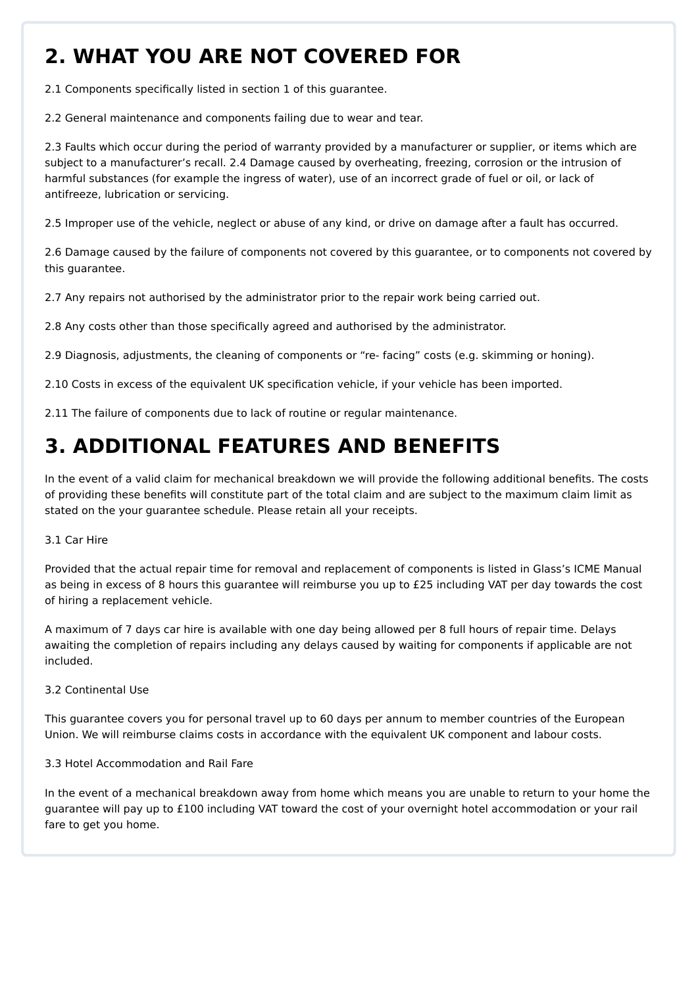# **2. WHAT YOU ARE NOT COVERED FOR**

2.1 Components specifically listed in section 1 of this guarantee.

2.2 General maintenance and components failing due to wear and tear.

2.3 Faults which occur during the period of warranty provided by a manufacturer or supplier, or items which are subject to a manufacturer's recall. 2.4 Damage caused by overheating, freezing, corrosion or the intrusion of harmful substances (for example the ingress of water), use of an incorrect grade of fuel or oil, or lack of antifreeze, lubrication or servicing.

2.5 Improper use of the vehicle, neglect or abuse of any kind, or drive on damage after a fault has occurred.

2.6 Damage caused by the failure of components not covered by this guarantee, or to components not covered by this guarantee.

2.7 Any repairs not authorised by the administrator prior to the repair work being carried out.

2.8 Any costs other than those specifically agreed and authorised by the administrator.

2.9 Diagnosis, adjustments, the cleaning of components or "re- facing" costs (e.g. skimming or honing).

2.10 Costs in excess of the equivalent UK specification vehicle, if your vehicle has been imported.

2.11 The failure of components due to lack of routine or regular maintenance.

# **3. ADDITIONAL FEATURES AND BENEFITS**

In the event of a valid claim for mechanical breakdown we will provide the following additional benefits. The costs of providing these benefits will constitute part of the total claim and are subject to the maximum claim limit as stated on the your guarantee schedule. Please retain all your receipts.

3.1 Car Hire

Provided that the actual repair time for removal and replacement of components is listed in Glass's ICME Manual as being in excess of 8 hours this guarantee will reimburse you up to £25 including VAT per day towards the cost of hiring a replacement vehicle.

A maximum of 7 days car hire is available with one day being allowed per 8 full hours of repair time. Delays awaiting the completion of repairs including any delays caused by waiting for components if applicable are not included.

3.2 Continental Use

This guarantee covers you for personal travel up to 60 days per annum to member countries of the European Union. We will reimburse claims costs in accordance with the equivalent UK component and labour costs.

#### 3.3 Hotel Accommodation and Rail Fare

In the event of a mechanical breakdown away from home which means you are unable to return to your home the guarantee will pay up to £100 including VAT toward the cost of your overnight hotel accommodation or your rail fare to get you home.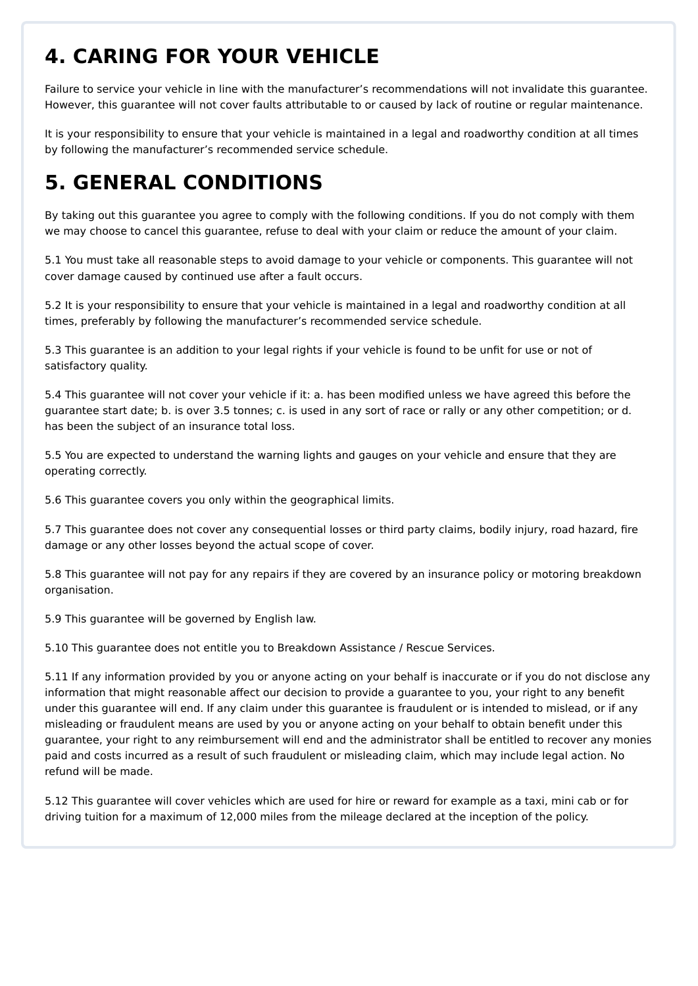# **4. CARING FOR YOUR VEHICLE**

Failure to service your vehicle in line with the manufacturer's recommendations will not invalidate this guarantee. However, this guarantee will not cover faults attributable to or caused by lack of routine or regular maintenance.

It is your responsibility to ensure that your vehicle is maintained in a legal and roadworthy condition at all times by following the manufacturer's recommended service schedule.

# **5. GENERAL CONDITIONS**

By taking out this guarantee you agree to comply with the following conditions. If you do not comply with them we may choose to cancel this guarantee, refuse to deal with your claim or reduce the amount of your claim.

5.1 You must take all reasonable steps to avoid damage to your vehicle or components. This guarantee will not cover damage caused by continued use after a fault occurs.

5.2 It is your responsibility to ensure that your vehicle is maintained in a legal and roadworthy condition at all times, preferably by following the manufacturer's recommended service schedule.

5.3 This guarantee is an addition to your legal rights if your vehicle is found to be unfit for use or not of satisfactory quality.

5.4 This guarantee will not cover your vehicle if it: a. has been modified unless we have agreed this before the guarantee start date; b. is over 3.5 tonnes; c. is used in any sort of race or rally or any other competition; or d. has been the subject of an insurance total loss.

5.5 You are expected to understand the warning lights and gauges on your vehicle and ensure that they are operating correctly.

5.6 This guarantee covers you only within the geographical limits.

5.7 This guarantee does not cover any consequential losses or third party claims, bodily injury, road hazard, fire damage or any other losses beyond the actual scope of cover.

5.8 This guarantee will not pay for any repairs if they are covered by an insurance policy or motoring breakdown organisation.

5.9 This guarantee will be governed by English law.

5.10 This guarantee does not entitle you to Breakdown Assistance / Rescue Services.

5.11 If any information provided by you or anyone acting on your behalf is inaccurate or if you do not disclose any information that might reasonable affect our decision to provide a guarantee to you, your right to any benefit under this guarantee will end. If any claim under this guarantee is fraudulent or is intended to mislead, or if any misleading or fraudulent means are used by you or anyone acting on your behalf to obtain benefit under this guarantee, your right to any reimbursement will end and the administrator shall be entitled to recover any monies paid and costs incurred as a result of such fraudulent or misleading claim, which may include legal action. No refund will be made.

5.12 This guarantee will cover vehicles which are used for hire or reward for example as a taxi, mini cab or for driving tuition for a maximum of 12,000 miles from the mileage declared at the inception of the policy.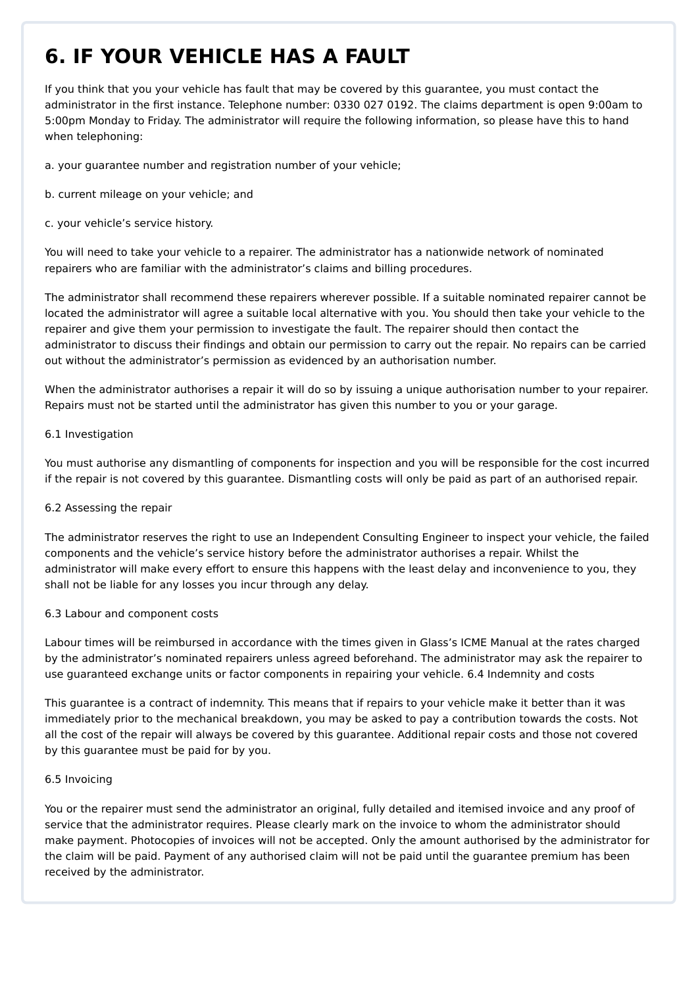# **6. IF YOUR VEHICLE HAS A FAULT**

If you think that you your vehicle has fault that may be covered by this guarantee, you must contact the administrator in the first instance. Telephone number: 0330 027 0192. The claims department is open 9:00am to 5:00pm Monday to Friday. The administrator will require the following information, so please have this to hand when telephoning:

a. your guarantee number and registration number of your vehicle;

- b. current mileage on your vehicle; and
- c. your vehicle's service history.

You will need to take your vehicle to a repairer. The administrator has a nationwide network of nominated repairers who are familiar with the administrator's claims and billing procedures.

The administrator shall recommend these repairers wherever possible. If a suitable nominated repairer cannot be located the administrator will agree a suitable local alternative with you. You should then take your vehicle to the repairer and give them your permission to investigate the fault. The repairer should then contact the administrator to discuss their findings and obtain our permission to carry out the repair. No repairs can be carried out without the administrator's permission as evidenced by an authorisation number.

When the administrator authorises a repair it will do so by issuing a unique authorisation number to your repairer. Repairs must not be started until the administrator has given this number to you or your garage.

#### 6.1 Investigation

You must authorise any dismantling of components for inspection and you will be responsible for the cost incurred if the repair is not covered by this guarantee. Dismantling costs will only be paid as part of an authorised repair.

#### 6.2 Assessing the repair

The administrator reserves the right to use an Independent Consulting Engineer to inspect your vehicle, the failed components and the vehicle's service history before the administrator authorises a repair. Whilst the administrator will make every effort to ensure this happens with the least delay and inconvenience to you, they shall not be liable for any losses you incur through any delay.

#### 6.3 Labour and component costs

Labour times will be reimbursed in accordance with the times given in Glass's ICME Manual at the rates charged by the administrator's nominated repairers unless agreed beforehand. The administrator may ask the repairer to use guaranteed exchange units or factor components in repairing your vehicle. 6.4 Indemnity and costs

This guarantee is a contract of indemnity. This means that if repairs to your vehicle make it better than it was immediately prior to the mechanical breakdown, you may be asked to pay a contribution towards the costs. Not all the cost of the repair will always be covered by this guarantee. Additional repair costs and those not covered by this guarantee must be paid for by you.

#### 6.5 Invoicing

You or the repairer must send the administrator an original, fully detailed and itemised invoice and any proof of service that the administrator requires. Please clearly mark on the invoice to whom the administrator should make payment. Photocopies of invoices will not be accepted. Only the amount authorised by the administrator for the claim will be paid. Payment of any authorised claim will not be paid until the guarantee premium has been received by the administrator.